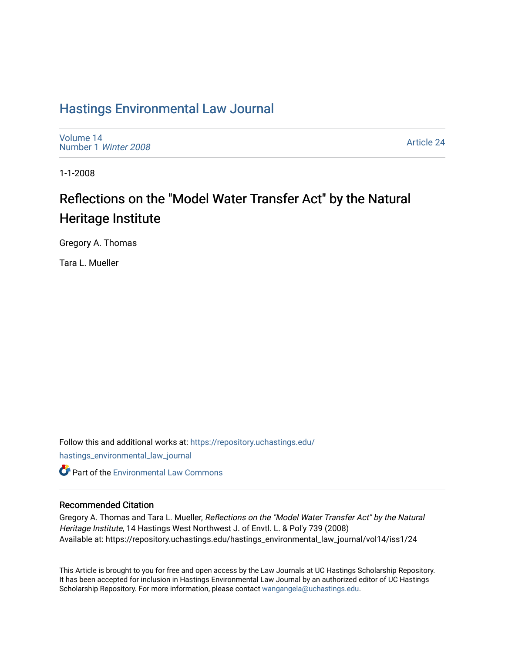## [Hastings Environmental Law Journal](https://repository.uchastings.edu/hastings_environmental_law_journal)

[Volume 14](https://repository.uchastings.edu/hastings_environmental_law_journal/vol14) [Number 1](https://repository.uchastings.edu/hastings_environmental_law_journal/vol14/iss1) Winter 2008

[Article 24](https://repository.uchastings.edu/hastings_environmental_law_journal/vol14/iss1/24) 

1-1-2008

# Reflections on the "Model Water Transfer Act" by the Natural Heritage Institute

Gregory A. Thomas

Tara L. Mueller

Follow this and additional works at: [https://repository.uchastings.edu/](https://repository.uchastings.edu/hastings_environmental_law_journal?utm_source=repository.uchastings.edu%2Fhastings_environmental_law_journal%2Fvol14%2Fiss1%2F24&utm_medium=PDF&utm_campaign=PDFCoverPages) [hastings\\_environmental\\_law\\_journal](https://repository.uchastings.edu/hastings_environmental_law_journal?utm_source=repository.uchastings.edu%2Fhastings_environmental_law_journal%2Fvol14%2Fiss1%2F24&utm_medium=PDF&utm_campaign=PDFCoverPages)  **C** Part of the [Environmental Law Commons](http://network.bepress.com/hgg/discipline/599?utm_source=repository.uchastings.edu%2Fhastings_environmental_law_journal%2Fvol14%2Fiss1%2F24&utm_medium=PDF&utm_campaign=PDFCoverPages)

## Recommended Citation

Gregory A. Thomas and Tara L. Mueller, Reflections on the "Model Water Transfer Act" by the Natural Heritage Institute, 14 Hastings West Northwest J. of Envtl. L. & Pol'y 739 (2008) Available at: https://repository.uchastings.edu/hastings\_environmental\_law\_journal/vol14/iss1/24

This Article is brought to you for free and open access by the Law Journals at UC Hastings Scholarship Repository. It has been accepted for inclusion in Hastings Environmental Law Journal by an authorized editor of UC Hastings Scholarship Repository. For more information, please contact [wangangela@uchastings.edu.](mailto:wangangela@uchastings.edu)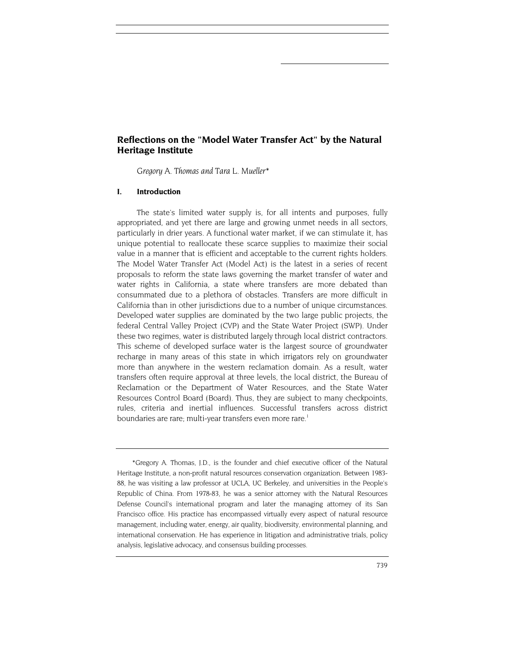## <span id="page-1-0"></span>**Reflections on the "Model Water Transfer Act" by the Natural Heritage Institute**

*Gregory A. Thomas and Tara L. Mueller\** 

#### **I. Introduction**

The state's limited water supply is, for all intents and purposes, fully appropriated, and yet there are large and growing unmet needs in all sectors, particularly in drier years. A functional water market, if we can stimulate it, has unique potential to reallocate these scarce supplies to maximize their social value in a manner that is efficient and acceptable to the current rights holders. The Model Water Transfer Act (Model Act) is the latest in a series of recent proposals to reform the state laws governing the market transfer of water and water rights in California, a state where transfers are more debated than consummated due to a plethora of obstacles. Transfers are more difficult in California than in other jurisdictions due to a number of unique circumstances. Developed water supplies are dominated by the two large public projects, the federal Central Valley Project (CVP) and the State Water Project (SWP). Under these two regimes, water is distributed largely through local district contractors. This scheme of developed surface water is the largest source of groundwater recharge in many areas of this state in which irrigators rely on groundwater more than anywhere in the western reclamation domain. As a result, water transfers often require approval at three levels, the local district, the Bureau of Reclamation or the Department of Water Resources, and the State Water Resources Control Board (Board). Thus, they are subject to many checkpoints, rules, criteria and inertial influences. Successful transfers across district boundaries are rare; multi-year transfers even more rare.<sup>1</sup>

<sup>\*</sup>Gregory A. Thomas, J.D., is the founder and chief executive officer of the Natural Heritage Institute, a non-profit natural resources conservation organization. Between 1983- 88, he was visiting a law professor at UCLA, UC Berkeley, and universities in the People's Republic of China. From 1978-83, he was a senior attorney with the Natural Resources Defense Council's international program and later the managing attorney of its San Francisco office. His practice has encompassed virtually every aspect of natural resource management, including water, energy, air quality, biodiversity, environmental planning, and international conservation. He has experience in litigation and administrative trials, policy analysis, legislative advocacy, and consensus building processes.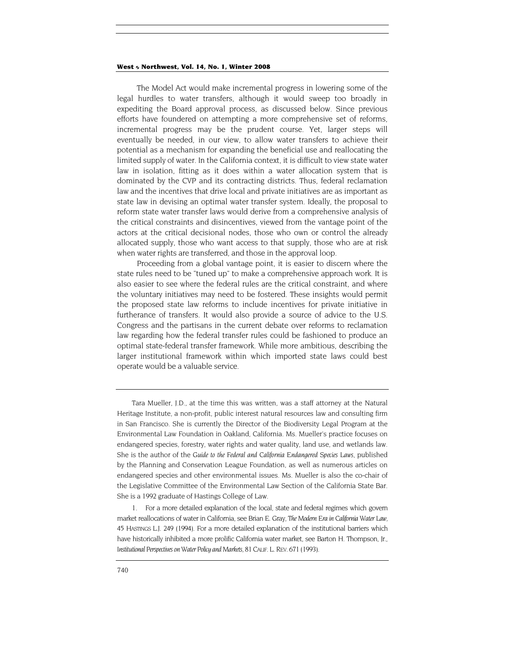The Model Act would make incremental progress in lowering some of the legal hurdles to water transfers, although it would sweep too broadly in expediting the Board approval process, as discussed below. Since previous efforts have foundered on attempting a more comprehensive set of reforms, incremental progress may be the prudent course. Yet, larger steps will eventually be needed, in our view, to allow water transfers to achieve their potential as a mechanism for expanding the beneficial use and reallocating the limited supply of water. In the California context, it is difficult to view state water law in isolation, fitting as it does within a water allocation system that is dominated by the CVP and its contracting districts. Thus, federal reclamation law and the incentives that drive local and private initiatives are as important as state law in devising an optimal water transfer system. Ideally, the proposal to reform state water transfer laws would derive from a comprehensive analysis of the critical constraints and disincentives, viewed from the vantage point of the actors at the critical decisional nodes, those who own or control the already allocated supply, those who want access to that supply, those who are at risk when water rights are transferred, and those in the approval loop.

Proceeding from a global vantage point, it is easier to discern where the state rules need to be "tuned up" to make a comprehensive approach work. It is also easier to see where the federal rules are the critical constraint, and where the voluntary initiatives may need to be fostered. These insights would permit the proposed state law reforms to include incentives for private initiative in furtherance of transfers. It would also provide a source of advice to the U.S. Congress and the partisans in the current debate over reforms to reclamation law regarding how the federal transfer rules could be fashioned to produce an optimal state-federal transfer framework. While more ambitious, describing the larger institutional framework within which imported state laws could best operate would be a valuable service.

Tara Mueller, J.D., at the time this was written, was a staff attorney at the Natural Heritage Institute, a non-profit, public interest natural resources law and consulting firm in San Francisco. She is currently the Director of the Biodiversity Legal Program at the Environmental Law Foundation in Oakland, California. Ms. Mueller's practice focuses on endangered species, forestry, water rights and water quality, land use, and wetlands law. She is the author of the *Guide to the Federal and California Endangered Species Laws*, published by the Planning and Conservation League Foundation, as well as numerous articles on endangered species and other environmental issues. Ms. Mueller is also the co-chair of the Legislative Committee of the Environmental Law Section of the California State Bar. She is a 1992 graduate of Hastings College of Law.

<sup>1.</sup> For a more detailed explanation of the local, state and federal regimes which govern market reallocations of water in California, see Brian E. Gray, *The Modern Era in California Water Law*, 45 HASTINGS L.J. 249 (1994). For a more detailed explanation of the institutional barriers which have historically inhibited a more prolific California water market, see Barton H. Thompson, Jr., *Institutional Perspectives on Water Policy and Markets*, 81 CALIF. L. REV. 671 (1993).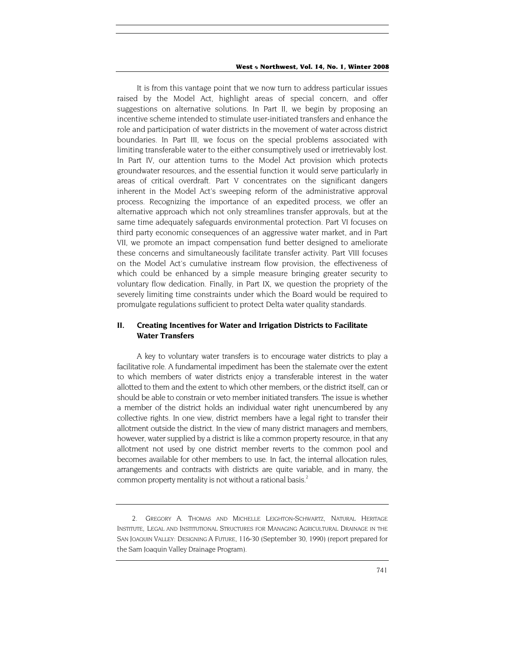It is from this vantage point that we now turn to address particular issues raised by the Model Act, highlight areas of special concern, and offer suggestions on alternative solutions. In Part II, we begin by proposing an incentive scheme intended to stimulate user-initiated transfers and enhance the role and participation of water districts in the movement of water across district boundaries. In Part III, we focus on the special problems associated with limiting transferable water to the either consumptively used or irretrievably lost. In Part IV, our attention turns to the Model Act provision which protects groundwater resources, and the essential function it would serve particularly in areas of critical overdraft. Part V concentrates on the significant dangers inherent in the Model Act's sweeping reform of the administrative approval process. Recognizing the importance of an expedited process, we offer an alternative approach which not only streamlines transfer approvals, but at the same time adequately safeguards environmental protection. Part VI focuses on third party economic consequences of an aggressive water market, and in Part VII, we promote an impact compensation fund better designed to ameliorate these concerns and simultaneously facilitate transfer activity. Part VIII focuses on the Model Act's cumulative instream flow provision, the effectiveness of which could be enhanced by a simple measure bringing greater security to voluntary flow dedication. Finally, in Part IX, we question the propriety of the severely limiting time constraints under which the Board would be required to promulgate regulations sufficient to protect Delta water quality standards.

## **II. Creating Incentives for Water and Irrigation Districts to Facilitate Water Transfers**

A key to voluntary water transfers is to encourage water districts to play a facilitative role. A fundamental impediment has been the stalemate over the extent to which members of water districts enjoy a transferable interest in the water allotted to them and the extent to which other members, or the district itself, can or should be able to constrain or veto member initiated transfers. The issue is whether a member of the district holds an individual water right unencumbered by any collective rights. In one view, district members have a legal right to transfer their allotment outside the district. In the view of many district managers and members, however, water supplied by a district is like a common property resource, in that any allotment not used by one district member reverts to the common pool and becomes available for other members to use. In fact, the internal allocation rules, arrangements and contracts with districts are quite variable, and in many, the common property mentality is not without a rational basis.<sup>2</sup>

<span id="page-3-0"></span><sup>2.</sup> GREGORY A. THOMAS AND MICHELLE LEIGHTON-SCHWARTZ, NATURAL HERITAGE INSTITUTE, LEGAL AND INSTITUTIONAL STRUCTURES FOR MANAGING AGRICULTURAL DRAINAGE IN THE SAN JOAQUIN VALLEY: DESIGNING A FUTURE, 116-30 (September 30, 1990) (report prepared for the Sam Joaquin Valley Drainage Program).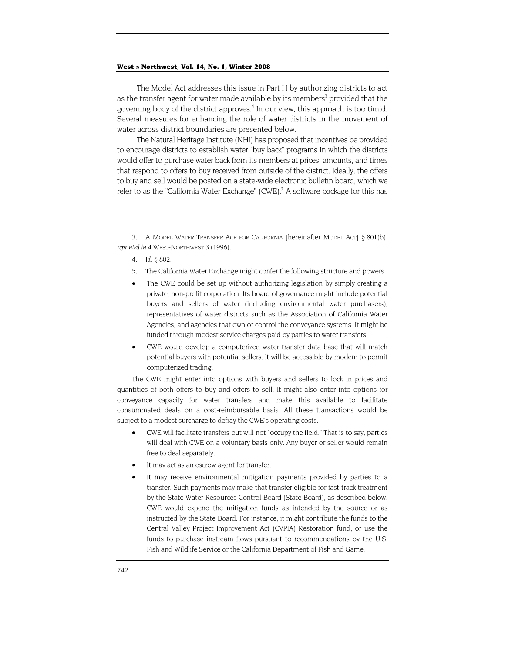<span id="page-4-2"></span>The Model Act addresses this issue in Part H by authorizing districts to act as the transfer agent for water made available by its members<sup>3</sup> provided that the governing body of the district approves.<sup>4</sup> In our view, this approach is too timid. Several measures for enhancing the role of water districts in the movement of water across district boundaries are presented below.

The Natural Heritage Institute (NHI) has proposed that incentives be provided to encourage districts to establish water "buy back" programs in which the districts would offer to purchase water back from its members at prices, amounts, and times that respond to offers to buy received from outside of the district. Ideally, the offers to buy and sell would be posted on a state-wide electronic bulletin board, which we refer to as the "California Water Exchange" (CWE).<sup>5</sup> A software package for this has

- <span id="page-4-1"></span>4*. Id.* § 802.
- 5. The California Water Exchange might confer the following structure and powers:
- The CWE could be set up without authorizing legislation by simply creating a private, non-profit corporation. Its board of governance might include potential buyers and sellers of water (including environmental water purchasers), representatives of water districts such as the Association of California Water Agencies, and agencies that own or control the conveyance systems. It might be funded through modest service charges paid by parties to water transfers.
- CWE would develop a computerized water transfer data base that will match potential buyers with potential sellers. It will be accessible by modem to permit computerized trading.

The CWE might enter into options with buyers and sellers to lock in prices and quantities of both offers to buy and offers to sell. It might also enter into options for conveyance capacity for water transfers and make this available to facilitate consummated deals on a cost-reimbursable basis. All these transactions would be subject to a modest surcharge to defray the CWE's operating costs.

- CWE will facilitate transfers but will not "occupy the field." That is to say, parties will deal with CWE on a voluntary basis only. Any buyer or seller would remain free to deal separately.
- It may act as an escrow agent for transfer.
- It may receive environmental mitigation payments provided by parties to a transfer. Such payments may make that transfer eligible for fast-track treatment by the State Water Resources Control Board (State Board), as described below. CWE would expend the mitigation funds as intended by the source or as instructed by the State Board. For instance, it might contribute the funds to the Central Valley Project Improvement Act (CVPIA) Restoration fund, or use the funds to purchase instream flows pursuant to recommendations by the U.S. Fish and Wildlife Service or the California Department of Fish and Game.

<span id="page-4-0"></span><sup>3.</sup> A MODEL WATER TRANSFER ACE FOR CALIFORNIA [hereinafter MODEL ACT] § 801(b), *reprinted in* 4 WEST-NORTHWEST 3 (1996).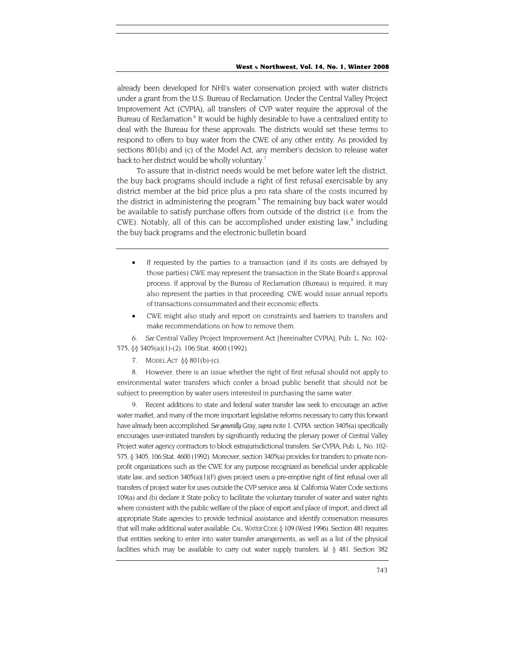<span id="page-5-3"></span>already been developed for NHI's water conservation project with water districts under a grant from the U.S. Bureau of Reclamation. Under the Central Valley Project Improvement Act (CVPIA), all transfers of CVP water require the approval of the Bureau of Reclamation.<sup>6</sup> It would be highly desirable to have a centralized entity to deal with the Bureau for these approvals. The districts would set these terms to respond to offers to buy water from the CWE of any other entity. As provided by sections 801(b) and (c) of the Model Act, any member's decision to release water back to her district would be wholly voluntary.<sup>7</sup>

To assure that in-district needs would be met before water left the district, the buy back programs should include a right of first refusal exercisable by any district member at the bid price plus a pro rata share of the costs incurred by the district in administering the program.<sup>8</sup> The remaining buy back water would be available to satisfy purchase offers from outside of the district (i.e. from the CWE). Notably, all of this can be accomplished under existing law, $9$  including the buy back programs and the electronic bulletin board.

- If requested by the parties to a transaction (and if its costs are defrayed by those parties) CWE may represent the transaction in the State Board's approval process. If approval by the Bureau of Reclamation (Bureau) is required, it may also represent the parties in that proceeding. CWE would issue annual reports of transactions consummated and their economic effects.
- CWE might also study and report on constraints and barriers to transfers and make recommendations on how to remove them.

<span id="page-5-0"></span>6*. See* Central Valley Project Improvement Act [hereinafter CVPIA], Pub. L. No. 102- 575, §§ 3405(a)(1)-(2). 106 Stat. 4600 (1992).

<span id="page-5-1"></span>7. MODEL ACT  $\S$ § 801(b)-(c).

<span id="page-5-2"></span>8. However, there is an issue whether the right of first refusal should not apply to environmental water transfers which confer a broad public benefit that should not be subject to preemption by water users interested in purchasing the same water.

9. Recent additions to state and federal water transfer law seek to encourage an active water market, and many of the more important legislative reforms necessary to carry this forward have already been accomplished. *See generally* Gray, *supra* note 1. CVPIA section 3405(a) specifically encourages user-initiated transfers by significantly reducing the plenary power of Central Valley Project water agency contractors to block extrajurisdictional transfers. *See* CVPIA, Pub. L. No. 102- 575, § 3405, 106 Stat. 4600 (1992). Moreover, section 3405(a) provides for transfers to private nonprofit organizations such as the CWE for any purpose recognized as beneficial under applicable state law, and section 3405(a)(1)(F) gives project users a pre-emptive right of first refusal over all transfers of project water for uses outside the CVP service area. *Id.* California Water Code sections 109(a) and (b) declare it State policy to facilitate the voluntary transfer of water and water rights where consistent with the public welfare of the place of export and place of import, and direct all appropriate State agencies to provide technical assistance and identify conservation measures that will make additional water available. CAL. WATER CODE § 109 (West 1996). Section 481 requires that entities seeking to enter into water transfer arrangements, as well as a list of the physical facilities which may be available to carry out water supply transfers. *Id.* § 481. Section 382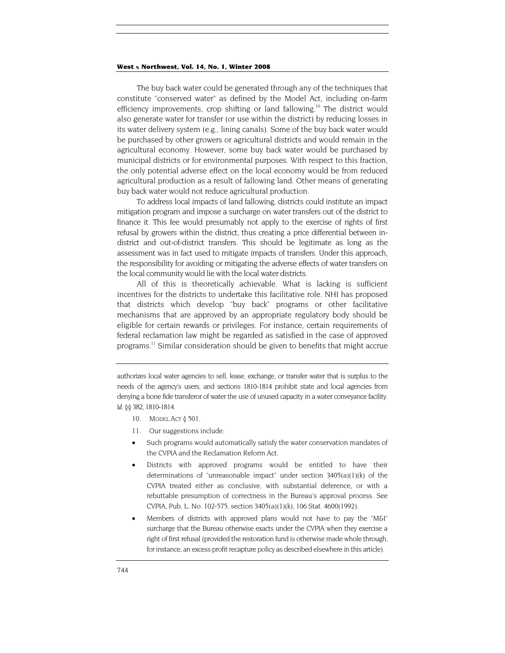<span id="page-6-1"></span>The buy back water could be generated through any of the techniques that constitute "conserved water" as defined by the Model Act, including on-farm efficiency improvements, crop shifting or land fallowing.<sup>10</sup> The district would also generate water for transfer (or use within the district) by reducing losses in its water delivery system (e.g., lining canals). Some of the buy back water would be purchased by other growers or agricultural districts and would remain in the agricultural economy. However, some buy back water would be purchased by municipal districts or for environmental purposes. With respect to this fraction, the only potential adverse effect on the local economy would be from reduced agricultural production as a result of fallowing land. Other means of generating buy back water would not reduce agricultural production.

To address local impacts of land fallowing, districts could institute an impact mitigation program and impose a surcharge on water transfers out of the district to finance it. This fee would presumably not apply to the exercise of rights of first refusal by growers within the district, thus creating a price differential between indistrict and out-of-district transfers. This should be legitimate as long as the assessment was in fact used to mitigate impacts of transfers. Under this approach, the responsibility for avoiding or mitigating the adverse effects of water transfers on the local community would lie with the local water districts.

All of this is theoretically achievable. What is lacking is sufficient incentives for the districts to undertake this facilitative role. NHI has proposed that districts which develop "buy back" programs or other facilitative mechanisms that are approved by an appropriate regulatory body should be eligible for certain rewards or privileges. For instance, certain requirements of federal reclamation law might be regarded as satisfied in the case of approved programs[.11](#page-6-1) Similar consideration should be given to benefits that might accrue

- <span id="page-6-0"></span>10. MODEL ACT § 501.
- 11. Our suggestions include:
- Such programs would automatically satisfy the water conservation mandates of the CVPIA and the Reclamation Reform Act.
- Districts with approved programs would be entitled to have their determinations of "unreasonable impact" under section 3405(a)(1)(k) of the CVPIA treated either as conclusive, with substantial deference, or with a rebuttable presumption of correctness in the Bureau's approval process. See CVPIA, Pub. L. No. 102-575, section 3405(a)(1)(k), 106 Stat. 4600(1992).
- Members of districts with approved plans would not have to pay the "M&I" surcharge that the Bureau otherwise exacts under the CVPIA when they exercise a right of first refusal (provided the restoration fund is otherwise made whole through, for instance, an excess profit recapture policy as described elsewhere in this article).

authorizes local water agencies to sell, lease, exchange, or transfer water that is surplus to the needs of the agency's users, and sections 1810-1814 prohibit state and local agencies from denying a bone fide transferor of water the use of unused capacity in a water conveyance facility. *Id.* §§ 382, 1810-1814.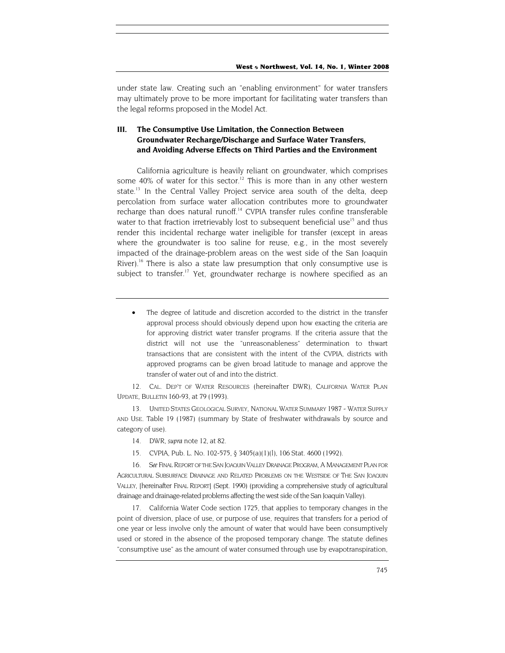<span id="page-7-5"></span>under state law. Creating such an "enabling environment" for water transfers may ultimately prove to be more important for facilitating water transfers than the legal reforms proposed in the Model Act.

## **III. The Consumptive Use Limitation, the Connection Between Groundwater Recharge/Discharge and Surface Water Transfers, and Avoiding Adverse Effects on Third Parties and the Environment**

California agriculture is heavily reliant on groundwater, which comprises some 40% of water for this sector.<sup>12</sup> This is more than in any other western state.<sup>13</sup> In the Central Valley Project service area south of the delta, deep percolation from surface water allocation contributes more to groundwater recharge than does natural runoff.<sup>14</sup> CVPIA transfer rules confine transferable water to that fraction irretrievably lost to subsequent beneficial use<sup>15</sup> and thus render this incidental recharge water ineligible for transfer (except in areas where the groundwater is too saline for reuse, e.g., in the most severely impacted of the drainage-problem areas on the west side of the San Joaquin River).<sup>16</sup> There is also a state law presumption that only consumptive use is subject to transfer.<sup>17</sup> Yet, groundwater recharge is nowhere specified as an

The degree of latitude and discretion accorded to the district in the transfer approval process should obviously depend upon how exacting the criteria are for approving district water transfer programs. If the criteria assure that the district will not use the "unreasonableness" determination to thwart transactions that are consistent with the intent of the CVPIA, districts with approved programs can be given broad latitude to manage and approve the transfer of water out of and into the district.

<span id="page-7-0"></span>12. CAL. DEP'T OF WATER RESOURCES (hereinafter DWR), CALIFORNIA WATER PLAN UPDATE, BULLETIN 160-93, at 79 (1993).

<span id="page-7-1"></span>13. UNITED STATES GEOLOGICAL SURVEY, NATIONAL WATER SUMMARY 1987 - WATER SUPPLY AND USE. Table 19 (1987) (summary by State of freshwater withdrawals by source and category of use).

- <span id="page-7-2"></span>14. DWR, *supra* note 12, at 82.
- 15. CVPIA, Pub. L. No. 102-575, § 3405(a)(1)(l), 106 Stat. 4600 (1992).

<span id="page-7-4"></span><span id="page-7-3"></span>16*. See* FINAL REPORT OF THE SAN JOAQUIN VALLEY DRAINAGE PROGRAM, A MANAGEMENT PLAN FOR AGRICULTURAL SUBSURFACE DRAINAGE AND RELATED PROBLEMS ON THE WESTSIDE OF THE SAN JOAQUIN VALLEY, [hereinafter FINAL REPORT] (Sept. 1990) (providing a comprehensive study of agricultural drainage and drainage-related problems affecting the west side of the San Joaquin Valley).

17. California Water Code section 1725, that applies to temporary changes in the point of diversion, place of use, or purpose of use, requires that transfers for a period of one year or less involve only the amount of water that would have been consumptively used or stored in the absence of the proposed temporary change. The statute defines "consumptive use" as the amount of water consumed through use by evapotranspiration,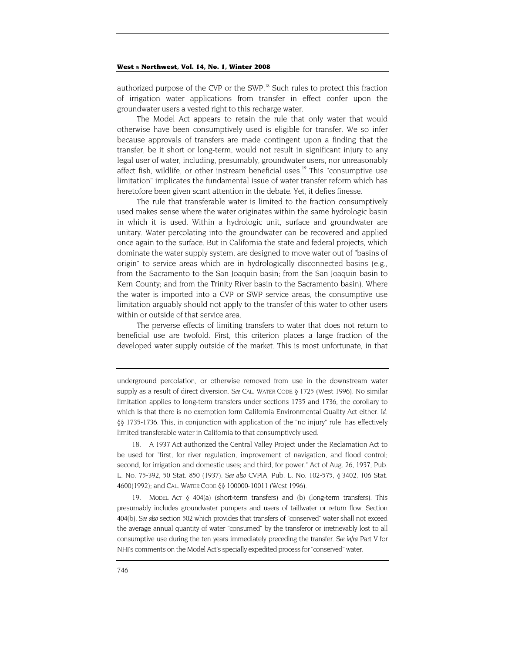authorized purpose of the CVP or the SWP.<sup>18</sup> Such rules to protect this fraction of irrigation water applications from transfer in effect confer upon the groundwater users a vested right to this recharge water.

The Model Act appears to retain the rule that only water that would otherwise have been consumptively used is eligible for transfer. We so infer because approvals of transfers are made contingent upon a finding that the transfer, be it short or long-term, would not result in significant injury to any legal user of water, including, presumably, groundwater users, nor unreasonably affect fish, wildlife, or other instream beneficial uses.<sup>19</sup> This "consumptive use limitation" implicates the fundamental issue of water transfer reform which has heretofore been given scant attention in the debate. Yet, it defies finesse.

The rule that transferable water is limited to the fraction consumptively used makes sense where the water originates within the same hydrologic basin in which it is used. Within a hydrologic unit, surface and groundwater are unitary. Water percolating into the groundwater can be recovered and applied once again to the surface. But in California the state and federal projects, which dominate the water supply system, are designed to move water out of "basins of origin" to service areas which are in hydrologically disconnected basins (e.g., from the Sacramento to the San Joaquin basin; from the San Joaquin basin to Kern County; and from the Trinity River basin to the Sacramento basin). Where the water is imported into a CVP or SWP service areas, the consumptive use limitation arguably should not apply to the transfer of this water to other users within or outside of that service area.

The perverse effects of limiting transfers to water that does not return to beneficial use are twofold. First, this criterion places a large fraction of the developed water supply outside of the market. This is most unfortunate, in that

<span id="page-8-0"></span>18. A 1937 Act authorized the Central Valley Project under the Reclamation Act to be used for "first, for river regulation, improvement of navigation, and flood control; second, for irrigation and domestic uses; and third, for power." Act of Aug. 26, 1937, Pub. L. No. 75-392, 50 Stat. 850 (1937). *See also* CVPIA, Pub. L. No. 102-575, § 3402, 106 Stat. 4600(1992); and CAL. WATER CODE §§ 100000-10011 (West 1996).

<span id="page-8-1"></span>19. MODEL ACT § 404(a) (short-term transfers) and (b) (long-term transfers). This presumably includes groundwater pumpers and users of taillwater or return flow. Section 404(b). *See also* section 502 which provides that transfers of "conserved" water shall not exceed the average annual quantity of water "consumed" by the transferor or irretrievably lost to all consumptive use during the ten years immediately preceding the transfer. *See infra* Part V for NHI's comments on the Model Act's specially expedited process for "conserved" water.

underground percolation, or otherwise removed from use in the downstream water supply as a result of direct diversion. *See* CAL. WATER CODE § 1725 (West 1996). No similar limitation applies to long-term transfers under sections 1735 and 1736, the corollary to which is that there is no exemption form California Environmental Quality Act either. *Id.* §§ 1735-1736. This, in conjunction with application of the "no injury" rule, has effectively limited transferable water in California to that consumptively used.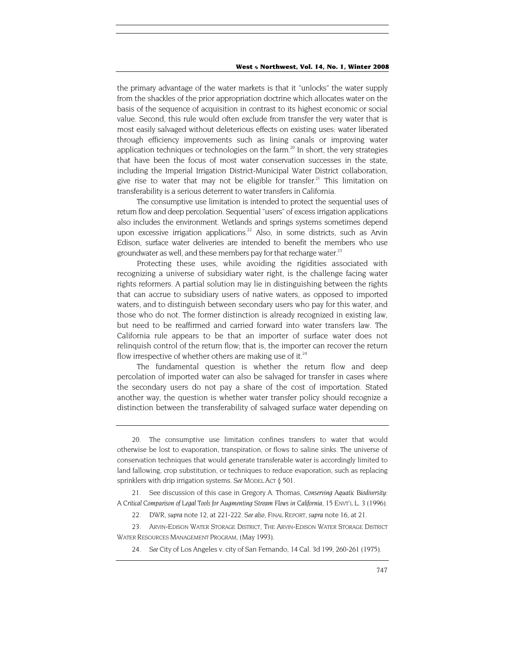the primary advantage of the water markets is that it "unlocks" the water supply from the shackles of the prior appropriation doctrine which allocates water on the basis of the sequence of acquisition in contrast to its highest economic or social value. Second, this rule would often exclude from transfer the very water that is most easily salvaged without deleterious effects on existing uses: water liberated through efficiency improvements such as lining canals or improving water application techniques or technologies on the farm. $^{20}$  In short, the very strategies that have been the focus of most water conservation successes in the state, including the Imperial Irrigation District-Municipal Water District collaboration, give rise to water that may not be eligible for transfer.<sup>21</sup> This limitation on transferability is a serious deterrent to water transfers in California.

The consumptive use limitation is intended to protect the sequential uses of return flow and deep percolation. Sequential "users" of excess irrigation applications also includes the environment. Wetlands and springs systems sometimes depend upon excessive irrigation applications.<sup>22</sup> Also, in some districts, such as Arvin Edison, surface water deliveries are intended to benefit the members who use groundwater as well, and these members pay for that recharge water. $^{23}$ 

Protecting these uses, while avoiding the rigidities associated with recognizing a universe of subsidiary water right, is the challenge facing water rights reformers. A partial solution may lie in distinguishing between the rights that can accrue to subsidiary users of native waters, as opposed to imported waters, and to distinguish between secondary users who pay for this water, and those who do not. The former distinction is already recognized in existing law, but need to be reaffirmed and carried forward into water transfers law. The California rule appears to be that an importer of surface water does not relinquish control of the return flow; that is, the importer can recover the return flow irrespective of whether others are making use of it. $24$ 

The fundamental question is whether the return flow and deep percolation of imported water can also be salvaged for transfer in cases where the secondary users do not pay a share of the cost of importation. Stated another way, the question is whether water transfer policy should recognize a distinction between the transferability of salvaged surface water depending on

<span id="page-9-4"></span>24*. See* City of Los Angeles v. city of San Fernando, 14 Cal. 3d 199, 260-261 (1975).

<span id="page-9-0"></span><sup>20.</sup> The consumptive use limitation confines transfers to water that would otherwise be lost to evaporation, transpiration, or flows to saline sinks. The universe of conservation techniques that would generate transferable water is accordingly limited to land fallowing, crop substitution, or techniques to reduce evaporation, such as replacing sprinklers with drip irrigation systems. *See* MODEL ACT § 501.

<span id="page-9-1"></span><sup>21.</sup> See discussion of this case in Gregory A. Thomas, *Conserving Aquatic Biodiversity: A Critical Comparison of Legal Tools for Augmenting Stream Flows in California,* 15 ENVT'L L. 3 (1996).

<sup>22.</sup> DWR, *supra* note 12, at 221-222. *See also*, FINAL REPORT, *supra* note 16, at 21.

<span id="page-9-3"></span><span id="page-9-2"></span><sup>23.</sup> ARVIN-EDISON WATER STORAGE DISTRICT, THE ARVIN-EDISON WATER STORAGE DISTRICT WATER RESOURCES MANAGEMENT PROGRAM, (May 1993).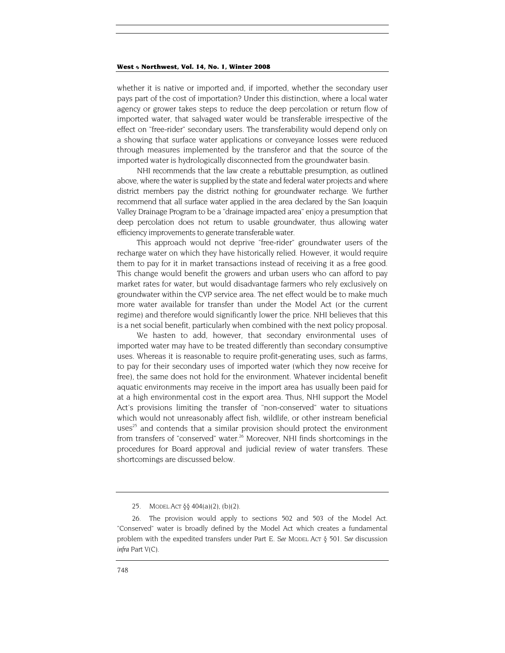whether it is native or imported and, if imported, whether the secondary user pays part of the cost of importation? Under this distinction, where a local water agency or grower takes steps to reduce the deep percolation or return flow of imported water, that salvaged water would be transferable irrespective of the effect on "free-rider" secondary users. The transferability would depend only on a showing that surface water applications or conveyance losses were reduced through measures implemented by the transferor and that the source of the imported water is hydrologically disconnected from the groundwater basin.

NHI recommends that the law create a rebuttable presumption, as outlined above, where the water is supplied by the state and federal water projects and where district members pay the district nothing for groundwater recharge. We further recommend that all surface water applied in the area declared by the San Joaquin Valley Drainage Program to be a "drainage impacted area" enjoy a presumption that deep percolation does not return to usable groundwater, thus allowing water efficiency improvements to generate transferable water.

This approach would not deprive "free-rider" groundwater users of the recharge water on which they have historically relied. However, it would require them to pay for it in market transactions instead of receiving it as a free good. This change would benefit the growers and urban users who can afford to pay market rates for water, but would disadvantage farmers who rely exclusively on groundwater within the CVP service area. The net effect would be to make much more water available for transfer than under the Model Act (or the current regime) and therefore would significantly lower the price. NHI believes that this is a net social benefit, particularly when combined with the next policy proposal.

We hasten to add, however, that secondary environmental uses of imported water may have to be treated differently than secondary consumptive uses. Whereas it is reasonable to require profit-generating uses, such as farms, to pay for their secondary uses of imported water (which they now receive for free), the same does not hold for the environment. Whatever incidental benefit aquatic environments may receive in the import area has usually been paid for at a high environmental cost in the export area. Thus, NHI support the Model Act's provisions limiting the transfer of "non-conserved" water to situations which would not unreasonably affect fish, wildlife, or other instream beneficial uses<sup>25</sup> and contends that a similar provision should protect the environment from transfers of "conserved" water.<sup>26</sup> Moreover, NHI finds shortcomings in the procedures for Board approval and judicial review of water transfers. These shortcomings are discussed below.

<sup>25.</sup> MODEL ACT §§ 404(a)(2), (b)(2).

<span id="page-10-1"></span><span id="page-10-0"></span><sup>26.</sup> The provision would apply to sections 502 and 503 of the Model Act. "Conserved" water is broadly defined by the Model Act which creates a fundamental problem with the expedited transfers under Part E. *See* MODEL ACT § 501. *See* discussion *infra* Part V(C).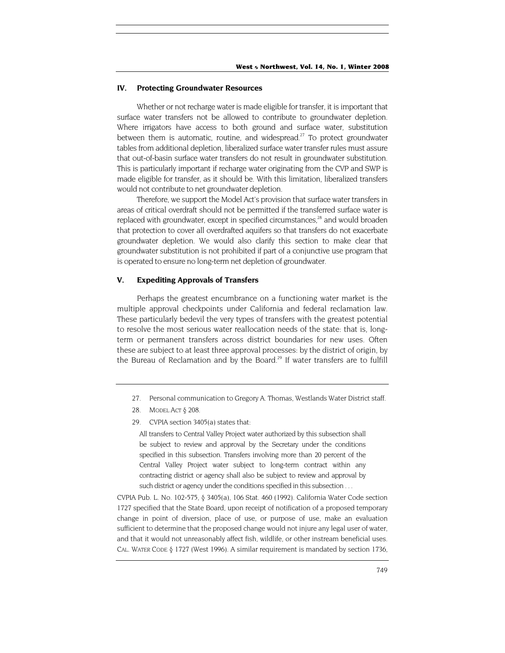#### <span id="page-11-2"></span>**IV. Protecting Groundwater Resources**

Whether or not recharge water is made eligible for transfer, it is important that surface water transfers not be allowed to contribute to groundwater depletion. Where irrigators have access to both ground and surface water, substitution between them is automatic, routine, and widespread.<sup>27</sup> To protect groundwater tables from additional depletion, liberalized surface water transfer rules must assure that out-of-basin surface water transfers do not result in groundwater substitution. This is particularly important if recharge water originating from the CVP and SWP is made eligible for transfer, as it should be. With this limitation, liberalized transfers would not contribute to net groundwater depletion.

Therefore, we support the Model Act's provision that surface water transfers in areas of critical overdraft should not be permitted if the transferred surface water is replaced with groundwater, except in specified circumstances,<sup>28</sup> and would broaden that protection to cover all overdrafted aquifers so that transfers do not exacerbate groundwater depletion. We would also clarify this section to make clear that groundwater substitution is not prohibited if part of a conjunctive use program that is operated to ensure no long-term net depletion of groundwater.

#### **V. Expediting Approvals of Transfers**

Perhaps the greatest encumbrance on a functioning water market is the multiple approval checkpoints under California and federal reclamation law. These particularly bedevil the very types of transfers with the greatest potential to resolve the most serious water reallocation needs of the state: that is, longterm or permanent transfers across district boundaries for new uses. Often these are subject to at least three approval processes: by the district of origin, by the Bureau of Reclamation and by the Board.<sup>29</sup> If water transfers are to fulfill

- <span id="page-11-1"></span>28. MODEL ACT § 208.
- 29. CVPIA section 3405(a) states that:

All transfers to Central Valley Project water authorized by this subsection shall be subject to review and approval by the Secretary under the conditions specified in this subsection. Transfers involving more than 20 percent of the Central Valley Project water subject to long-term contract within any contracting district or agency shall also be subject to review and approval by such district or agency under the conditions specified in this subsection . . .

CVPIA Pub. L. No. 102-575, § 3405(a), 106 Stat. 460 (1992). California Water Code section 1727 specified that the State Board, upon receipt of notification of a proposed temporary change in point of diversion, place of use, or purpose of use, make an evaluation sufficient to determine that the proposed change would not injure any legal user of water, and that it would not unreasonably affect fish, wildlife, or other instream beneficial uses. CAL. WATER CODE § 1727 (West 1996). A similar requirement is mandated by section 1736,

<span id="page-11-0"></span><sup>27.</sup> Personal communication to Gregory A. Thomas, Westlands Water District staff.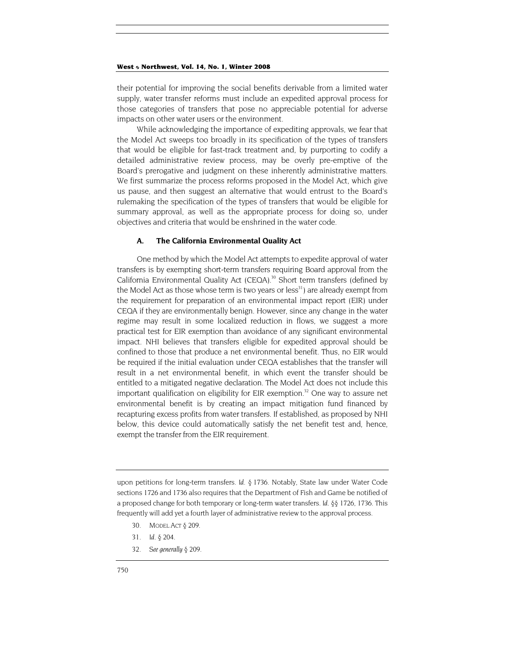their potential for improving the social benefits derivable from a limited water supply, water transfer reforms must include an expedited approval process for those categories of transfers that pose no appreciable potential for adverse impacts on other water users or the environment.

While acknowledging the importance of expediting approvals, we fear that the Model Act sweeps too broadly in its specification of the types of transfers that would be eligible for fast-track treatment and, by purporting to codify a detailed administrative review process, may be overly pre-emptive of the Board's prerogative and judgment on these inherently administrative matters. We first summarize the process reforms proposed in the Model Act, which give us pause, and then suggest an alternative that would entrust to the Board's rulemaking the specification of the types of transfers that would be eligible for summary approval, as well as the appropriate process for doing so, under objectives and criteria that would be enshrined in the water code.

#### **A. The California Environmental Quality Act**

One method by which the Model Act attempts to expedite approval of water transfers is by exempting short-term transfers requiring Board approval from the California Environmental Quality Act (CEQA).<sup>30</sup> Short term transfers (defined by the Model Act as those whose term is two years or less<sup>31</sup>) are already exempt from the requirement for preparation of an environmental impact report (EIR) under CEQA if they are environmentally benign. However, since any change in the water regime may result in some localized reduction in flows, we suggest a more practical test for EIR exemption than avoidance of any significant environmental impact. NHI believes that transfers eligible for expedited approval should be confined to those that produce a net environmental benefit. Thus, no EIR would be required if the initial evaluation under CEQA establishes that the transfer will result in a net environmental benefit, in which event the transfer should be entitled to a mitigated negative declaration. The Model Act does not include this important qualification on eligibility for EIR exemption.<sup>32</sup> One way to assure net environmental benefit is by creating an impact mitigation fund financed by recapturing excess profits from water transfers. If established, as proposed by NHI below, this device could automatically satisfy the net benefit test and, hence, exempt the transfer from the EIR requirement.

upon petitions for long-term transfers. *Id.* § 1736. Notably, State law under Water Code sections 1726 and 1736 also requires that the Department of Fish and Game be notified of a proposed change for both temporary or long-term water transfers. *Id.* §§ 1726, 1736. This frequently will add yet a fourth layer of administrative review to the approval process.

- <span id="page-12-0"></span>30. MODEL ACT § 209.
- <span id="page-12-1"></span>31*. Id.* § 204.
- <span id="page-12-2"></span>32*. See generally* § 209.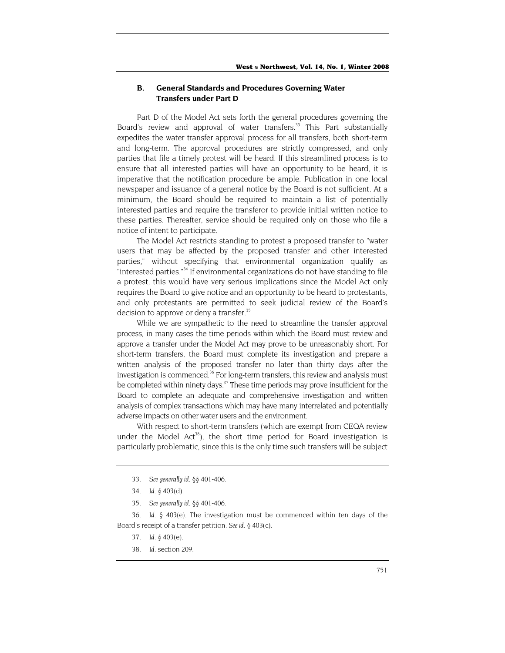## **B. General Standards and Procedures Governing Water Transfers under Part D**

Part D of the Model Act sets forth the general procedures governing the Board's review and approval of water transfers.<sup>33</sup> This Part substantially expedites the water transfer approval process for all transfers, both short-term and long-term. The approval procedures are strictly compressed, and only parties that file a timely protest will be heard. If this streamlined process is to ensure that all interested parties will have an opportunity to be heard, it is imperative that the notification procedure be ample. Publication in one local newspaper and issuance of a general notice by the Board is not sufficient. At a minimum, the Board should be required to maintain a list of potentially interested parties and require the transferor to provide initial written notice to these parties. Thereafter, service should be required only on those who file a notice of intent to participate.

The Model Act restricts standing to protest a proposed transfer to "water users that may be affected by the proposed transfer and other interested parties," without specifying that environmental organization qualify as "interested parties.["34](#page-13-1) If environmental organizations do not have standing to file a protest, this would have very serious implications since the Model Act only requires the Board to give notice and an opportunity to be heard to protestants, and only protestants are permitted to seek judicial review of the Board's decision to approve or deny a transfer.<sup>[35](#page-13-2)</sup>

While we are sympathetic to the need to streamline the transfer approval process, in many cases the time periods within which the Board must review and approve a transfer under the Model Act may prove to be unreasonably short. For short-term transfers, the Board must complete its investigation and prepare a written analysis of the proposed transfer no later than thirty days after the investigation is commenced.<sup>36</sup> For long-term transfers, this review and analysis must be completed within ninety days.<sup>37</sup> These time periods may prove insufficient for the Board to complete an adequate and comprehensive investigation and written analysis of complex transactions which may have many interrelated and potentially adverse impacts on other water users and the environment.

With respect to short-term transfers (which are exempt from CEQA review under the Model Act<sup>38</sup>), the short time period for Board investigation is particularly problematic, since this is the only time such transfers will be subject

<span id="page-13-3"></span>36*. Id.* § 403(e). The investigation must be commenced within ten days of the Board's receipt of a transfer petition. *See id.* § 403(c).

- <span id="page-13-4"></span>37*. Id.* § 403(e).
- <span id="page-13-5"></span>38*. Id.* section 209.

<span id="page-13-0"></span><sup>33</sup>*. See generally id.* §§ 401-406.

<span id="page-13-1"></span><sup>34</sup>*. Id.* § 403(d).

<span id="page-13-2"></span><sup>35</sup>*. See generally id.* §§ 401-406.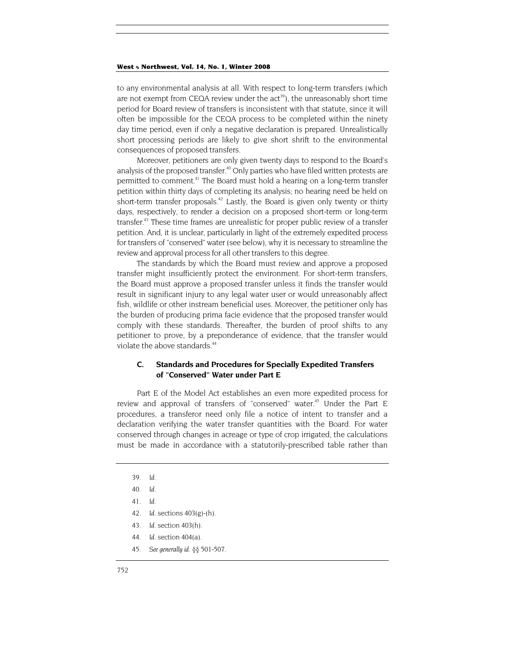to any environmental analysis at all. With respect to long-term transfers (which are not exempt from CEQA review under the  $act^{39}$ ), the unreasonably short time period for Board review of transfers is inconsistent with that statute, since it will often be impossible for the CEQA process to be completed within the ninety day time period, even if only a negative declaration is prepared. Unrealistically short processing periods are likely to give short shrift to the environmental consequences of proposed transfers.

Moreover, petitioners are only given twenty days to respond to the Board's analysis of the proposed transfer.<sup>40</sup> Only parties who have filed written protests are permitted to comment.<sup>41</sup> The Board must hold a hearing on a long-term transfer petition within thirty days of completing its analysis; no hearing need be held on short-term transfer proposals.<sup>42</sup> Lastly, the Board is given only twenty or thirty days, respectively, to render a decision on a proposed short-term or long-term transfer.<sup>43</sup> These time frames are unrealistic for proper public review of a transfer petition. And, it is unclear, particularly in light of the extremely expedited process for transfers of "conserved" water (see below), why it is necessary to streamline the review and approval process for all other transfers to this degree.

The standards by which the Board must review and approve a proposed transfer might insufficiently protect the environment. For short-term transfers, the Board must approve a proposed transfer unless it finds the transfer would result in significant injury to any legal water user or would unreasonably affect fish, wildlife or other instream beneficial uses. Moreover, the petitioner only has the burden of producing prima facie evidence that the proposed transfer would comply with these standards. Thereafter, the burden of proof shifts to any petitioner to prove, by a preponderance of evidence, that the transfer would violate the above standards.<sup>44</sup>

## **C. Standards and Procedures for Specially Expedited Transfers of "Conserved" Water under Part E**

Part E of the Model Act establishes an even more expedited process for review and approval of transfers of "conserved" water.<sup>45</sup> Under the Part E procedures, a transferor need only file a notice of intent to transfer and a declaration verifying the water transfer quantities with the Board. For water conserved through changes in acreage or type of crop irrigated, the calculations must be made in accordance with a statutorily-prescribed table rather than

- <span id="page-14-4"></span>43*. Id.* section 403(h).
- <span id="page-14-5"></span>44*. Id.* section 404(a).
- <span id="page-14-6"></span>45*. See generally id.* §§ 501-507.

<span id="page-14-0"></span><sup>39</sup>*. Id.*

<span id="page-14-1"></span><sup>40</sup>*. Id.*

<span id="page-14-2"></span><sup>41</sup>*. Id.*

<span id="page-14-3"></span><sup>42</sup>*. Id.* sections 403(g)-(h).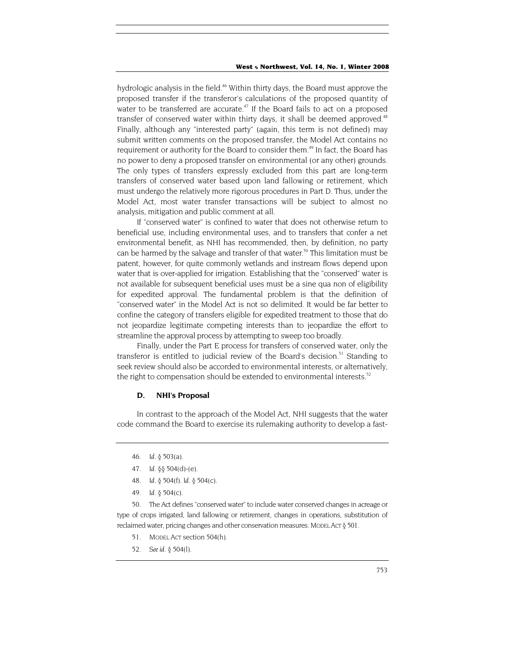hydrologic analysis in the field.<sup>46</sup> Within thirty days, the Board must approve the proposed transfer if the transferor's calculations of the proposed quantity of water to be transferred are accurate.<sup>47</sup> If the Board fails to act on a proposed transfer of conserved water within thirty days, it shall be deemed approved.<sup>48</sup> Finally, although any "interested party" (again, this term is not defined) may submit written comments on the proposed transfer, the Model Act contains no requirement or authority for the Board to consider them.<sup>49</sup> In fact, the Board has no power to deny a proposed transfer on environmental (or any other) grounds. The only types of transfers expressly excluded from this part are long-term transfers of conserved water based upon land fallowing or retirement, which must undergo the relatively more rigorous procedures in Part D. Thus, under the Model Act, most water transfer transactions will be subject to almost no analysis, mitigation and public comment at all.

If "conserved water" is confined to water that does not otherwise return to beneficial use, including environmental uses, and to transfers that confer a net environmental benefit, as NHI has recommended, then, by definition, no party can be harmed by the salvage and transfer of that water.<sup>50</sup> This limitation must be patent, however, for quite commonly wetlands and instream flows depend upon water that is over-applied for irrigation. Establishing that the "conserved" water is not available for subsequent beneficial uses must be a sine qua non of eligibility for expedited approval. The fundamental problem is that the definition of "conserved water" in the Model Act is not so delimited. It would be far better to confine the category of transfers eligible for expedited treatment to those that do not jeopardize legitimate competing interests than to jeopardize the effort to streamline the approval process by attempting to sweep too broadly.

Finally, under the Part E process for transfers of conserved water, only the transferor is entitled to judicial review of the Board's decision.<sup>51</sup> Standing to seek review should also be accorded to environmental interests, or alternatively, the right to compensation should be extended to environmental interests.<sup>52</sup>

#### **D. NHI's Proposal**

In contrast to the approach of the Model Act, NHI suggests that the water code command the Board to exercise its rulemaking authority to develop a fast-

- <span id="page-15-0"></span>46*. Id.* § 503(a).
- <span id="page-15-1"></span>47*. Id.* §§ 504(d)-(e).
- <span id="page-15-2"></span>48*. Id.* § 504(f). *Id.* § 504(c).
- 49*. Id.* § 504(c).

<span id="page-15-4"></span><span id="page-15-3"></span>50. The Act defines "conserved water" to include water conserved changes in acreage or type of crops irrigated, land fallowing or retirement, changes in operations, substitution of reclaimed water, pricing changes and other conservation measures. Model Act § 501.

- <span id="page-15-5"></span>51. MODEL ACT section 504(h).
- <span id="page-15-6"></span>52*. See id.* § 504(l).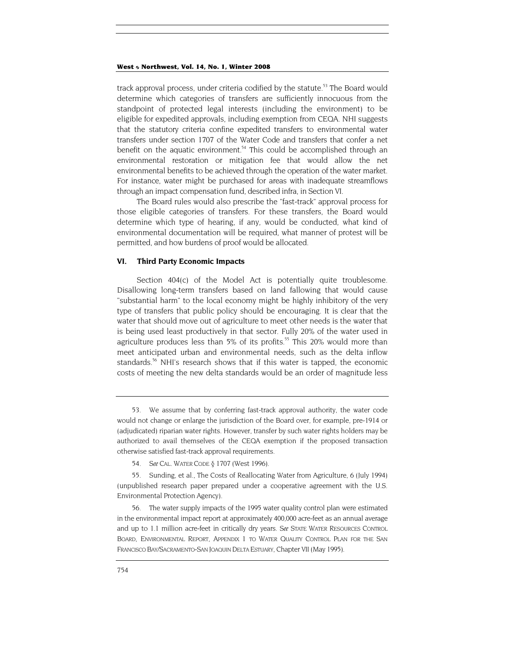track approval process, under criteria codified by the statute.<sup>53</sup> The Board would determine which categories of transfers are sufficiently innocuous from the standpoint of protected legal interests (including the environment) to be eligible for expedited approvals, including exemption from CEQA. NHI suggests that the statutory criteria confine expedited transfers to environmental water transfers under section 1707 of the Water Code and transfers that confer a net benefit on the aquatic environment.<sup>54</sup> This could be accomplished through an environmental restoration or mitigation fee that would allow the net environmental benefits to be achieved through the operation of the water market. For instance, water might be purchased for areas with inadequate streamflows through an impact compensation fund, described infra, in Section VI.

The Board rules would also prescribe the "fast-track" approval process for those eligible categories of transfers. For these transfers, the Board would determine which type of hearing, if any, would be conducted, what kind of environmental documentation will be required, what manner of protest will be permitted, and how burdens of proof would be allocated.

#### **VI. Third Party Economic Impacts**

Section 404(c) of the Model Act is potentially quite troublesome. Disallowing long-term transfers based on land fallowing that would cause "substantial harm" to the local economy might be highly inhibitory of the very type of transfers that public policy should be encouraging. It is clear that the water that should move out of agriculture to meet other needs is the water that is being used least productively in that sector. Fully 20% of the water used in agriculture produces less than 5% of its profits.<sup>55</sup> This 20% would more than meet anticipated urban and environmental needs, such as the delta inflow standards.<sup>56</sup> NHI's research shows that if this water is tapped, the economic costs of meeting the new delta standards would be an order of magnitude less

<span id="page-16-0"></span><sup>53.</sup> We assume that by conferring fast-track approval authority, the water code would not change or enlarge the jurisdiction of the Board over, for example, pre-1914 or (adjudicated) riparian water rights. However, transfer by such water rights holders may be authorized to avail themselves of the CEQA exemption if the proposed transaction otherwise satisfied fast-track approval requirements.

<span id="page-16-1"></span><sup>54</sup>*. See* CAL. WATER CODE § 1707 (West 1996).

<span id="page-16-2"></span><sup>55.</sup> Sunding, et al., The Costs of Reallocating Water from Agriculture, 6 (July 1994) (unpublished research paper prepared under a cooperative agreement with the U.S. Environmental Protection Agency).

<span id="page-16-3"></span><sup>56.</sup> The water supply impacts of the 1995 water quality control plan were estimated in the environmental impact report at approximately 400,000 acre-feet as an annual average and up to 1.1 million acre-feet in critically dry years. *See* STATE WATER RESOURCES CONTROL BOARD, ENVIRONMENTAL REPORT, APPENDIX 1 TO WATER QUALITY CONTROL PLAN FOR THE SAN FRANCISCO BAY/SACRAMENTO-SAN JOAQUIN DELTA ESTUARY, Chapter VII (May 1995).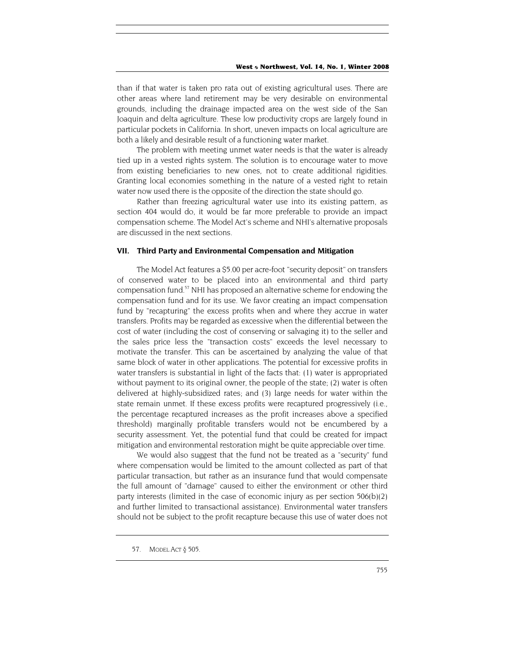than if that water is taken pro rata out of existing agricultural uses. There are other areas where land retirement may be very desirable on environmental grounds, including the drainage impacted area on the west side of the San Joaquin and delta agriculture. These low productivity crops are largely found in particular pockets in California. In short, uneven impacts on local agriculture are both a likely and desirable result of a functioning water market.

The problem with meeting unmet water needs is that the water is already tied up in a vested rights system. The solution is to encourage water to move from existing beneficiaries to new ones, not to create additional rigidities. Granting local economies something in the nature of a vested right to retain water now used there is the opposite of the direction the state should go.

Rather than freezing agricultural water use into its existing pattern, as section 404 would do, it would be far more preferable to provide an impact compensation scheme. The Model Act's scheme and NHI's alternative proposals are discussed in the next sections.

#### **VII. Third Party and Environmental Compensation and Mitigation**

The Model Act features a \$5.00 per acre-foot "security deposit" on transfers of conserved water to be placed into an environmental and third party compensation fund.<sup>57</sup> NHI has proposed an alternative scheme for endowing the compensation fund and for its use. We favor creating an impact compensation fund by "recapturing" the excess profits when and where they accrue in water transfers. Profits may be regarded as excessive when the differential between the cost of water (including the cost of conserving or salvaging it) to the seller and the sales price less the "transaction costs" exceeds the level necessary to motivate the transfer. This can be ascertained by analyzing the value of that same block of water in other applications. The potential for excessive profits in water transfers is substantial in light of the facts that: (1) water is appropriated without payment to its original owner, the people of the state; (2) water is often delivered at highly-subsidized rates; and (3) large needs for water within the state remain unmet. If these excess profits were recaptured progressively (i.e., the percentage recaptured increases as the profit increases above a specified threshold) marginally profitable transfers would not be encumbered by a security assessment. Yet, the potential fund that could be created for impact mitigation and environmental restoration might be quite appreciable over time.

We would also suggest that the fund not be treated as a "security" fund where compensation would be limited to the amount collected as part of that particular transaction, but rather as an insurance fund that would compensate the full amount of "damage" caused to either the environment or other third party interests (limited in the case of economic injury as per section 506(b)(2) and further limited to transactional assistance). Environmental water transfers should not be subject to the profit recapture because this use of water does not

<span id="page-17-0"></span><sup>57.</sup> MODEL ACT § 505.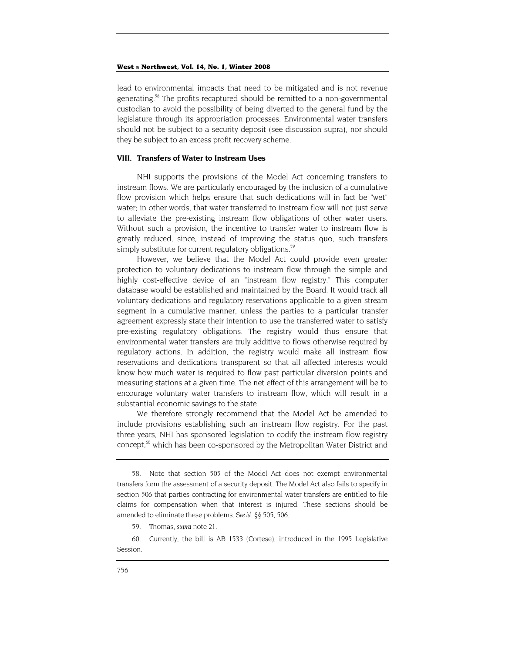lead to environmental impacts that need to be mitigated and is not revenue generating.<sup>58</sup> The profits recaptured should be remitted to a non-governmental custodian to avoid the possibility of being diverted to the general fund by the legislature through its appropriation processes. Environmental water transfers should not be subject to a security deposit (see discussion supra), nor should they be subject to an excess profit recovery scheme.

#### **VIII. Transfers of Water to Instream Uses**

NHI supports the provisions of the Model Act concerning transfers to instream flows. We are particularly encouraged by the inclusion of a cumulative flow provision which helps ensure that such dedications will in fact be "wet" water; in other words, that water transferred to instream flow will not just serve to alleviate the pre-existing instream flow obligations of other water users. Without such a provision, the incentive to transfer water to instream flow is greatly reduced, since, instead of improving the status quo, such transfers simply substitute for current regulatory obligations.<sup>59</sup>

However, we believe that the Model Act could provide even greater protection to voluntary dedications to instream flow through the simple and highly cost-effective device of an "instream flow registry." This computer database would be established and maintained by the Board. It would track all voluntary dedications and regulatory reservations applicable to a given stream segment in a cumulative manner, unless the parties to a particular transfer agreement expressly state their intention to use the transferred water to satisfy pre-existing regulatory obligations. The registry would thus ensure that environmental water transfers are truly additive to flows otherwise required by regulatory actions. In addition, the registry would make all instream flow reservations and dedications transparent so that all affected interests would know how much water is required to flow past particular diversion points and measuring stations at a given time. The net effect of this arrangement will be to encourage voluntary water transfers to instream flow, which will result in a substantial economic savings to the state.

We therefore strongly recommend that the Model Act be amended to include provisions establishing such an instream flow registry. For the past three years, NHI has sponsored legislation to codify the instream flow registry concept,<sup>60</sup> which has been co-sponsored by the Metropolitan Water District and

<span id="page-18-2"></span><span id="page-18-1"></span>60. Currently, the bill is AB 1533 (Cortese), introduced in the 1995 Legislative Session.

<span id="page-18-0"></span><sup>58.</sup> Note that section 505 of the Model Act does not exempt environmental transfers form the assessment of a security deposit. The Model Act also fails to specify in section 506 that parties contracting for environmental water transfers are entitled to file claims for compensation when that interest is injured. These sections should be amended to eliminate these problems. *See id.* §§ 505, 506.

<sup>59.</sup> Thomas, *supra* note 21.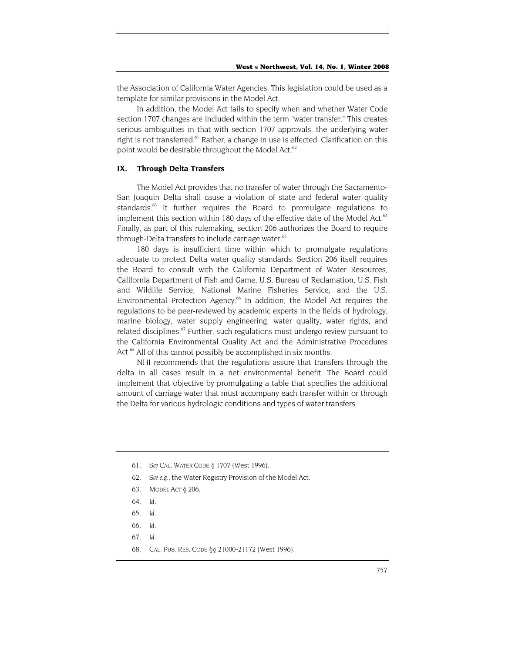the Association of California Water Agencies. This legislation could be used as a template for similar provisions in the Model Act.

In addition, the Model Act fails to specify when and whether Water Code section 1707 changes are included within the term "water transfer." This creates serious ambiguities in that with section 1707 approvals, the underlying water right is not transferred.<sup>61</sup> Rather, a change in use is effected. Clarification on this point would be desirable throughout the Model Act.<sup>62</sup>

#### **IX. Through Delta Transfers**

The Model Act provides that no transfer of water through the Sacramento-San Joaquin Delta shall cause a violation of state and federal water quality standards.<sup>63</sup> It further requires the Board to promulgate regulations to implement this section within 180 days of the effective date of the Model Act.<sup>64</sup> Finally, as part of this rulemaking, section 206 authorizes the Board to require through-Delta transfers to include carriage water.<sup>65</sup>

180 days is insufficient time within which to promulgate regulations adequate to protect Delta water quality standards. Section 206 itself requires the Board to consult with the California Department of Water Resources, California Department of Fish and Game, U.S. Bureau of Reclamation, U.S. Fish and Wildlife Service, National Marine Fisheries Service, and the U.S. Environmental Protection Agency.<sup>66</sup> In addition, the Model Act requires the regulations to be peer-reviewed by academic experts in the fields of hydrology, marine biology, water supply engineering, water quality, water rights, and related disciplines.<sup>67</sup> Further, such regulations must undergo review pursuant to the California Environmental Quality Act and the Administrative Procedures Act.<sup>68</sup> All of this cannot possibly be accomplished in six months.

NHI recommends that the regulations assure that transfers through the delta in all cases result in a net environmental benefit. The Board could implement that objective by promulgating a table that specifies the additional amount of carriage water that must accompany each transfer within or through the Delta for various hydrologic conditions and types of water transfers.

- <span id="page-19-1"></span>62*. See e.g.,* the Water Registry Provision of the Model Act.
- <span id="page-19-2"></span>63. MODEL ACT § 206.
- <span id="page-19-3"></span>64*. Id.*
- <span id="page-19-4"></span>65*. Id.*
- <span id="page-19-5"></span>66*. Id.*
- <span id="page-19-6"></span>67*. Id.*
- <span id="page-19-7"></span>68. CAL. PUB. RES. CODE §§ 21000-21172 (West 1996).

<span id="page-19-0"></span><sup>61</sup>*. See* CAL. WATER CODE § 1707 (West 1996).